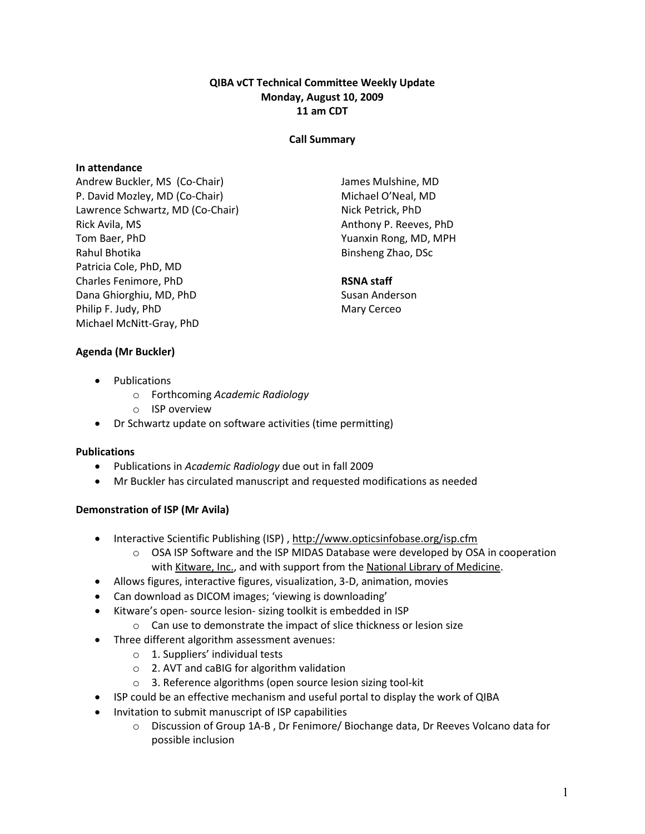# QIBA vCT Technical Committee Weekly Update Monday, August 10, 2009 11 am CDT

## Call Summary

## In attendance

Andrew Buckler, MS (Co-Chair) P. David Mozley, MD (Co-Chair) Lawrence Schwartz, MD (Co-Chair) Rick Avila, MS Tom Baer, PhD Rahul Bhotika Patricia Cole, PhD, MD Charles Fenimore, PhD Dana Ghiorghiu, MD, PhD Philip F. Judy, PhD Michael McNitt-Gray, PhD

James Mulshine, MD Michael O'Neal, MD Nick Petrick, PhD Anthony P. Reeves, PhD Yuanxin Rong, MD, MPH Binsheng Zhao, DSc

# RSNA staff

Susan Anderson Mary Cerceo

- Agenda (Mr Buckler)
	- Publications
		- o Forthcoming Academic Radiology
		- o ISP overview
	- Dr Schwartz update on software activities (time permitting)

#### Publications

- Publications in Academic Radiology due out in fall 2009
- Mr Buckler has circulated manuscript and requested modifications as needed

#### Demonstration of ISP (Mr Avila)

- Interactive Scientific Publishing (ISP), http://www.opticsinfobase.org/isp.cfm
	- o OSA ISP Software and the ISP MIDAS Database were developed by OSA in cooperation with Kitware, Inc., and with support from the National Library of Medicine.
- Allows figures, interactive figures, visualization, 3-D, animation, movies
- Can download as DICOM images; 'viewing is downloading'
- Kitware's open- source lesion- sizing toolkit is embedded in ISP
	- o Can use to demonstrate the impact of slice thickness or lesion size
- Three different algorithm assessment avenues:
	- o 1. Suppliers' individual tests
	- o 2. AVT and caBIG for algorithm validation
	- o 3. Reference algorithms (open source lesion sizing tool-kit
- ISP could be an effective mechanism and useful portal to display the work of QIBA
- Invitation to submit manuscript of ISP capabilities
	- o Discussion of Group 1A-B , Dr Fenimore/ Biochange data, Dr Reeves Volcano data for possible inclusion